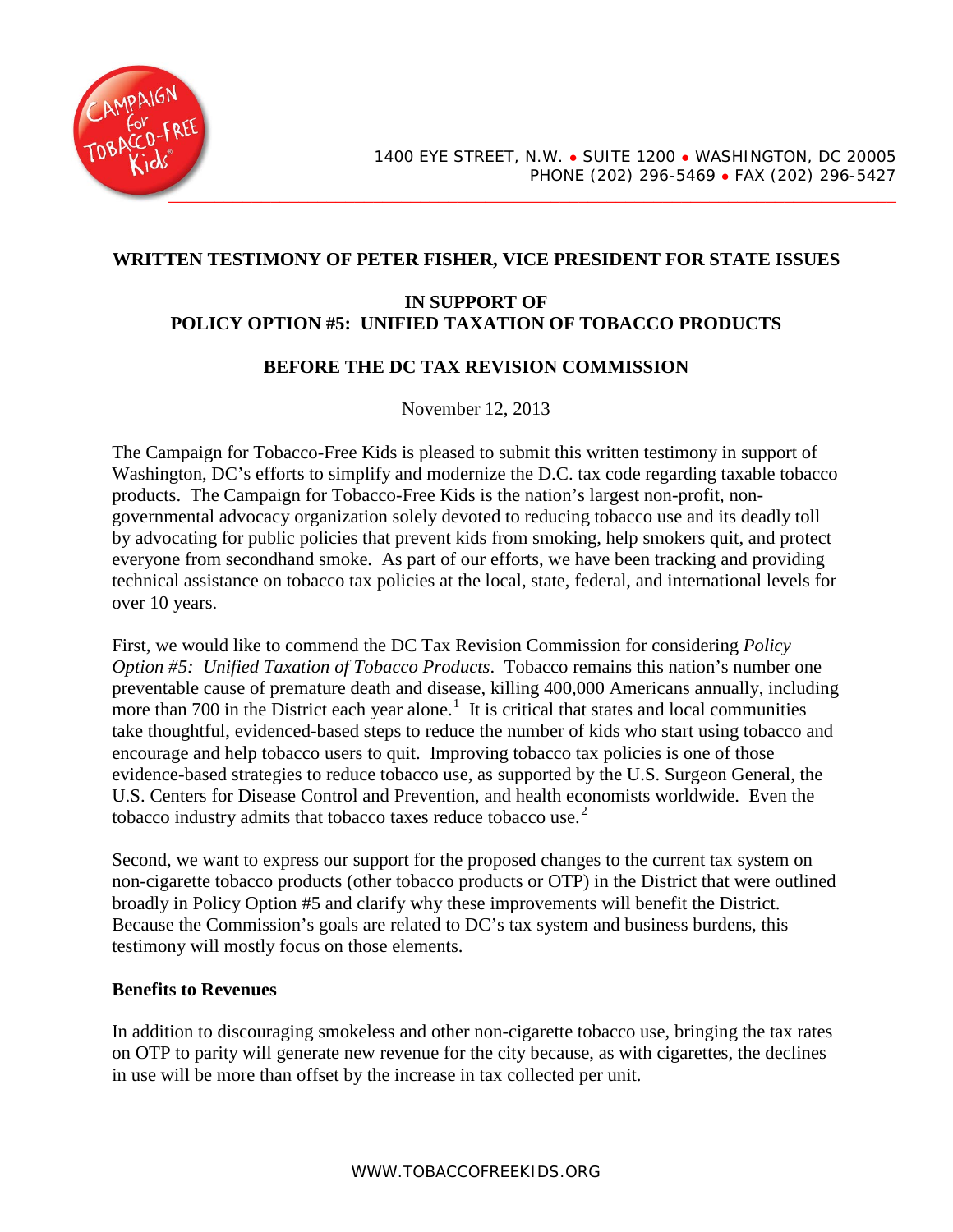

## **WRITTEN TESTIMONY OF PETER FISHER, VICE PRESIDENT FOR STATE ISSUES**

# **IN SUPPORT OF POLICY OPTION #5: UNIFIED TAXATION OF TOBACCO PRODUCTS**

### **BEFORE THE DC TAX REVISION COMMISSION**

November 12, 2013

The Campaign for Tobacco-Free Kids is pleased to submit this written testimony in support of Washington, DC's efforts to simplify and modernize the D.C. tax code regarding taxable tobacco products. The Campaign for Tobacco-Free Kids is the nation's largest non-profit, nongovernmental advocacy organization solely devoted to reducing tobacco use and its deadly toll by advocating for public policies that prevent kids from smoking, help smokers quit, and protect everyone from secondhand smoke. As part of our efforts, we have been tracking and providing technical assistance on tobacco tax policies at the local, state, federal, and international levels for over 10 years.

First, we would like to commend the DC Tax Revision Commission for considering *Policy Option #5: Unified Taxation of Tobacco Products*. Tobacco remains this nation's number one preventable cause of premature death and disease, killing 400,000 Americans annually, including more than 700 in the District each year alone.<sup>[1](#page-3-0)</sup> It is critical that states and local communities take thoughtful, evidenced-based steps to reduce the number of kids who start using tobacco and encourage and help tobacco users to quit. Improving tobacco tax policies is one of those evidence-based strategies to reduce tobacco use, as supported by the U.S. Surgeon General, the U.S. Centers for Disease Control and Prevention, and health economists worldwide. Even the tobacco industry admits that tobacco taxes reduce tobacco use. $^{2}$  $^{2}$  $^{2}$ 

Second, we want to express our support for the proposed changes to the current tax system on non-cigarette tobacco products (other tobacco products or OTP) in the District that were outlined broadly in Policy Option #5 and clarify why these improvements will benefit the District. Because the Commission's goals are related to DC's tax system and business burdens, this testimony will mostly focus on those elements.

#### **Benefits to Revenues**

In addition to discouraging smokeless and other non-cigarette tobacco use, bringing the tax rates on OTP to parity will generate new revenue for the city because, as with cigarettes, the declines in use will be more than offset by the increase in tax collected per unit.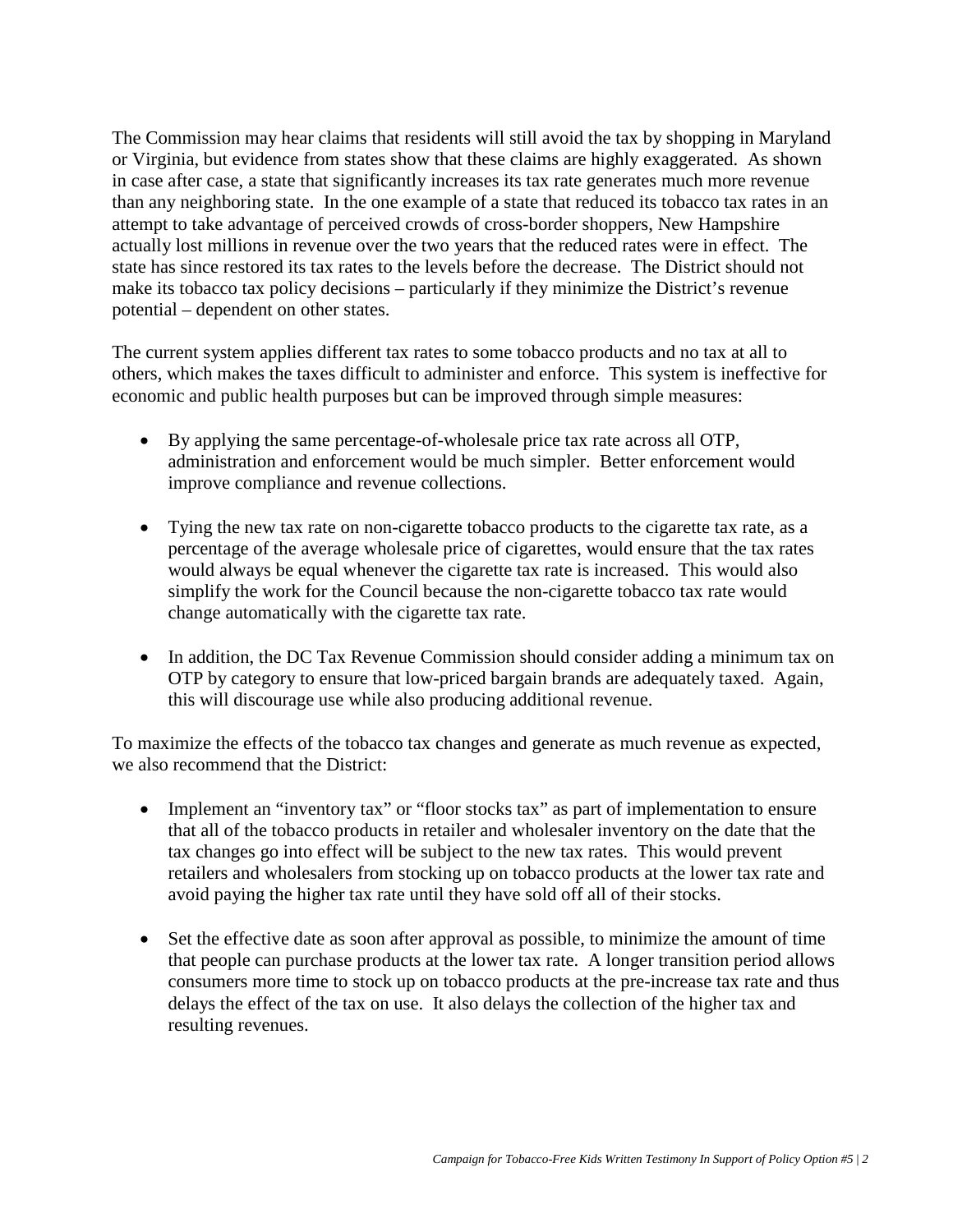The Commission may hear claims that residents will still avoid the tax by shopping in Maryland or Virginia, but evidence from states show that these claims are highly exaggerated. As shown in case after case, a state that significantly increases its tax rate generates much more revenue than any neighboring state. In the one example of a state that reduced its tobacco tax rates in an attempt to take advantage of perceived crowds of cross-border shoppers, New Hampshire actually lost millions in revenue over the two years that the reduced rates were in effect. The state has since restored its tax rates to the levels before the decrease. The District should not make its tobacco tax policy decisions – particularly if they minimize the District's revenue potential – dependent on other states.

The current system applies different tax rates to some tobacco products and no tax at all to others, which makes the taxes difficult to administer and enforce. This system is ineffective for economic and public health purposes but can be improved through simple measures:

- By applying the same percentage-of-wholesale price tax rate across all OTP, administration and enforcement would be much simpler. Better enforcement would improve compliance and revenue collections.
- Tying the new tax rate on non-cigarette tobacco products to the cigarette tax rate, as a percentage of the average wholesale price of cigarettes, would ensure that the tax rates would always be equal whenever the cigarette tax rate is increased. This would also simplify the work for the Council because the non-cigarette tobacco tax rate would change automatically with the cigarette tax rate.
- In addition, the DC Tax Revenue Commission should consider adding a minimum tax on OTP by category to ensure that low-priced bargain brands are adequately taxed. Again, this will discourage use while also producing additional revenue.

To maximize the effects of the tobacco tax changes and generate as much revenue as expected, we also recommend that the District:

- Implement an "inventory tax" or "floor stocks tax" as part of implementation to ensure that all of the tobacco products in retailer and wholesaler inventory on the date that the tax changes go into effect will be subject to the new tax rates. This would prevent retailers and wholesalers from stocking up on tobacco products at the lower tax rate and avoid paying the higher tax rate until they have sold off all of their stocks.
- Set the effective date as soon after approval as possible, to minimize the amount of time that people can purchase products at the lower tax rate. A longer transition period allows consumers more time to stock up on tobacco products at the pre-increase tax rate and thus delays the effect of the tax on use. It also delays the collection of the higher tax and resulting revenues.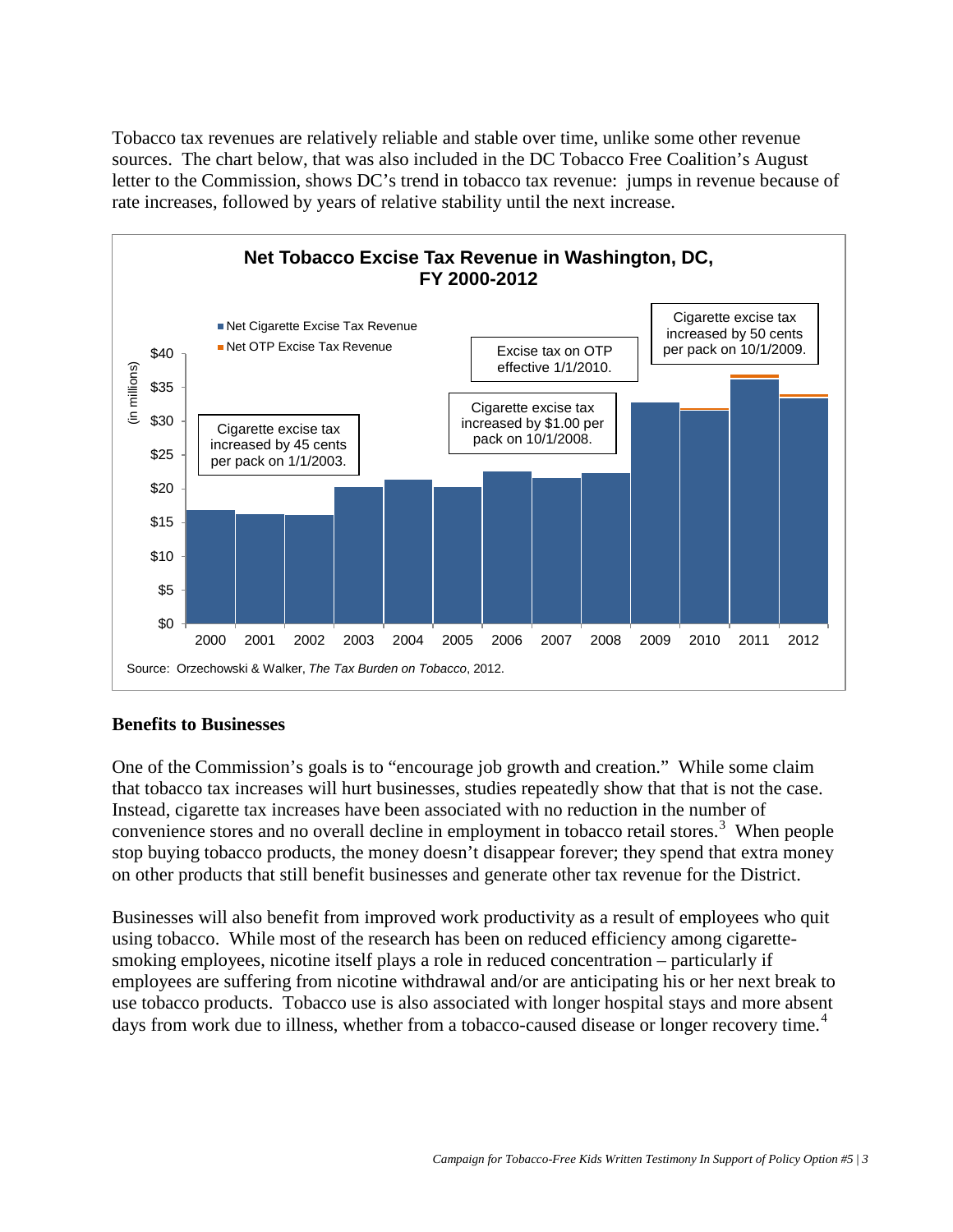Tobacco tax revenues are relatively reliable and stable over time, unlike some other revenue sources. The chart below, that was also included in the DC Tobacco Free Coalition's August letter to the Commission, shows DC's trend in tobacco tax revenue: jumps in revenue because of rate increases, followed by years of relative stability until the next increase.



## **Benefits to Businesses**

One of the Commission's goals is to "encourage job growth and creation." While some claim that tobacco tax increases will hurt businesses, studies repeatedly show that that is not the case. Instead, cigarette tax increases have been associated with no reduction in the number of convenience stores and no overall decline in employment in tobacco retail stores.<sup>[3](#page-3-2)</sup> When people stop buying tobacco products, the money doesn't disappear forever; they spend that extra money on other products that still benefit businesses and generate other tax revenue for the District.

Businesses will also benefit from improved work productivity as a result of employees who quit using tobacco. While most of the research has been on reduced efficiency among cigarettesmoking employees, nicotine itself plays a role in reduced concentration – particularly if employees are suffering from nicotine withdrawal and/or are anticipating his or her next break to use tobacco products. Tobacco use is also associated with longer hospital stays and more absent days from work due to illness, whether from a tobacco-caused disease or longer recovery time.<sup>[4](#page-3-3)</sup>